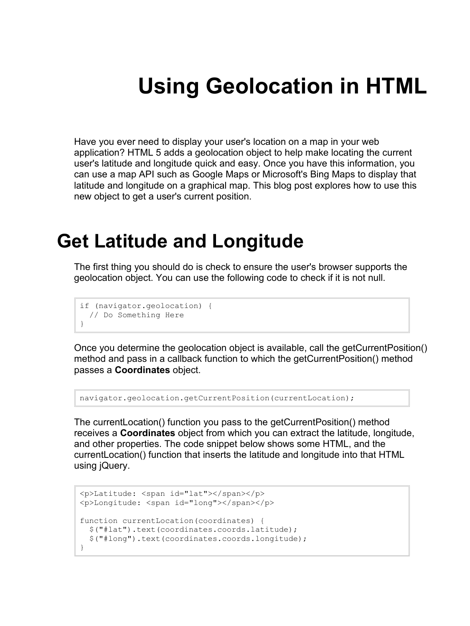# **Using Geolocation in HTML**

Have you ever need to display your user's location on a map in your web application? HTML 5 adds a geolocation object to help make locating the current user's latitude and longitude quick and easy. Once you have this information, you can use a map API such as Google Maps or Microsoft's Bing Maps to display that latitude and longitude on a graphical map. This blog post explores how to use this new object to get a user's current position.

### **Get Latitude and Longitude**

The first thing you should do is check to ensure the user's browser supports the geolocation object. You can use the following code to check if it is not null.

```
if (navigator.geolocation) {
  // Do Something Here
}
```
Once you determine the geolocation object is available, call the getCurrentPosition() method and pass in a callback function to which the getCurrentPosition() method passes a **Coordinates** object.

```
navigator.geolocation.getCurrentPosition(currentLocation);
```
The currentLocation() function you pass to the getCurrentPosition() method receives a **Coordinates** object from which you can extract the latitude, longitude, and other properties. The code snippet below shows some HTML, and the currentLocation() function that inserts the latitude and longitude into that HTML using jQuery.

```
<p>Latitude: <span id="lat"></span></p>
<p>Longitude: <span id="long"></span></p>
function currentLocation(coordinates) {
   $("#lat").text(coordinates.coords.latitude);
   $("#long").text(coordinates.coords.longitude);
}
```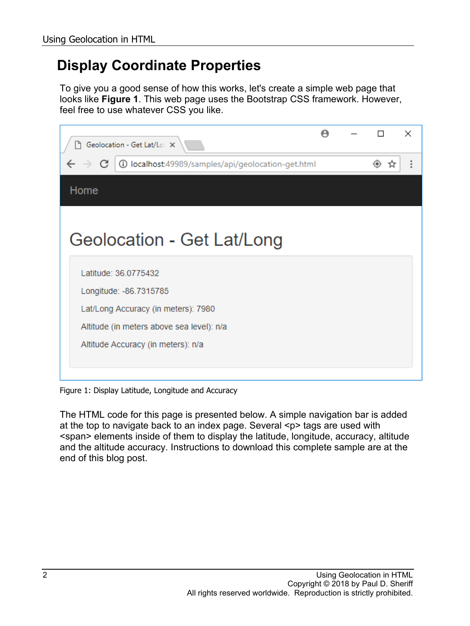#### **Display Coordinate Properties**

To give you a good sense of how this works, let's create a simple web page that looks like **Figure 1**. This web page uses the Bootstrap CSS framework. However, feel free to use whatever CSS you like.

| Geolocation - Get Lat/Lor X<br>۱۹.                                                                                                                                       |  |        | $\times$             |
|--------------------------------------------------------------------------------------------------------------------------------------------------------------------------|--|--------|----------------------|
| <b>(i) localhost:</b> 49989/samples/api/geolocation-get.html                                                                                                             |  | ◈<br>☆ | $\ddot{\phantom{a}}$ |
| Home                                                                                                                                                                     |  |        |                      |
| Geolocation - Get Lat/Long                                                                                                                                               |  |        |                      |
| Latitude: 36.0775432<br>Longitude: -86.7315785<br>Lat/Long Accuracy (in meters): 7980<br>Altitude (in meters above sea level): n/a<br>Altitude Accuracy (in meters): n/a |  |        |                      |

Figure 1: Display Latitude, Longitude and Accuracy

The HTML code for this page is presented below. A simple navigation bar is added at the top to navigate back to an index page. Several <p> tags are used with <span> elements inside of them to display the latitude, longitude, accuracy, altitude and the altitude accuracy. Instructions to download this complete sample are at the end of this blog post.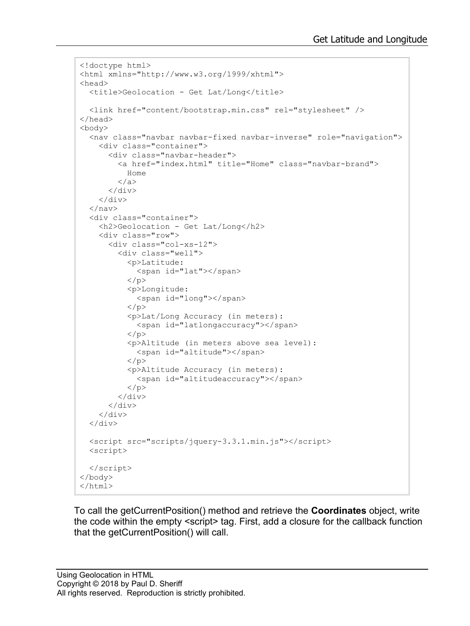```
<!doctype html>
<html xmlns="http://www.w3.org/1999/xhtml">
<head>
   <title>Geolocation - Get Lat/Long</title>
   <link href="content/bootstrap.min.css" rel="stylesheet" />
</head>
<body>
   <nav class="navbar navbar-fixed navbar-inverse" role="navigation">
     <div class="container">
       <div class="navbar-header">
          <a href="index.html" title="Home" class="navbar-brand">
            Home
         \langlea>
      \langle/div\rangle\langlediv>\langle/nav\rangle <div class="container">
     <h2>Geolocation - Get Lat/Long</h2>
     <div class="row">
       <div class="col-xs-12">
          <div class="well">
            <p>Latitude:
              <span id="lat"></span>
           \langle/p>
            <p>Longitude:
              <span id="long"></span>
           \langle/p>
            <p>Lat/Long Accuracy (in meters):
              <span id="latlongaccuracy"></span>
           \langle/p>
            <p>Altitude (in meters above sea level):
             <span id="altitude"></span>
           \langle p \rangle <p>Altitude Accuracy (in meters):
              <span id="altitudeaccuracy"></span>
           \langle/p>
         \langle/div>
        </div>
     </div>
  \langle div>
   <script src="scripts/jquery-3.3.1.min.js"></script>
   <script>
   </script>
</body>
</html>
```
To call the getCurrentPosition() method and retrieve the **Coordinates** object, write the code within the empty <script> tag. First, add a closure for the callback function that the getCurrentPosition() will call.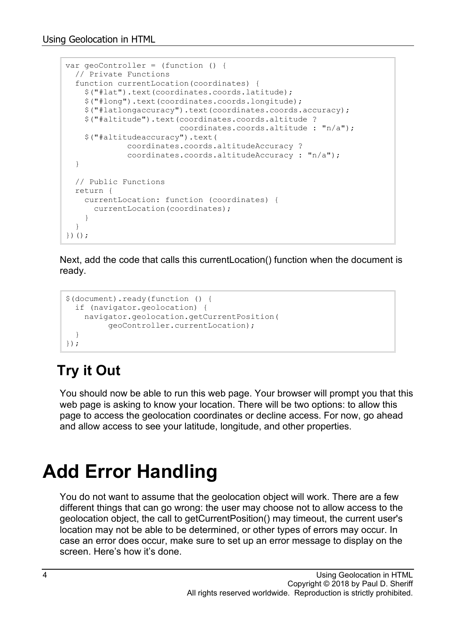```
var geoController = (function () {
  // Private Functions
   function currentLocation(coordinates) {
    $("#lat").text(coordinates.coords.latitude);
     $("#long").text(coordinates.coords.longitude);
     $("#latlongaccuracy").text(coordinates.coords.accuracy);
     $("#altitude").text(coordinates.coords.altitude ?
                          coordinates.coords.altitude : "n/a");
     $("#altitudeaccuracy").text(
              coordinates.coords.altitudeAccuracy ?
              coordinates.coords.altitudeAccuracy : "n/a");
  }
  // Public Functions
  return {
    currentLocation: function (coordinates) {
      currentLocation(coordinates);
    }
   }
})();
```
Next, add the code that calls this currentLocation() function when the document is ready.

```
$(document).ready(function () {
  if (navigator.geolocation) {
    navigator.geolocation.getCurrentPosition(
          geoController.currentLocation);
   }
});
```
#### **Try it Out**

You should now be able to run this web page. Your browser will prompt you that this web page is asking to know your location. There will be two options: to allow this page to access the geolocation coordinates or decline access. For now, go ahead and allow access to see your latitude, longitude, and other properties.

## **Add Error Handling**

You do not want to assume that the geolocation object will work. There are a few different things that can go wrong: the user may choose not to allow access to the geolocation object, the call to getCurrentPosition() may timeout, the current user's location may not be able to be determined, or other types of errors may occur. In case an error does occur, make sure to set up an error message to display on the screen. Here's how it's done.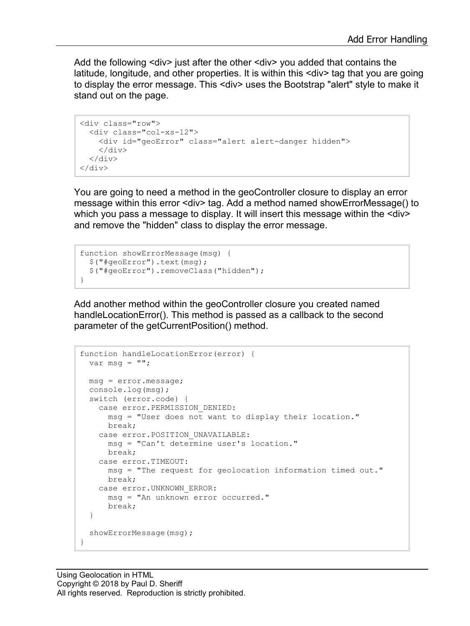Add the following <div> just after the other <div> you added that contains the latitude, longitude, and other properties. It is within this <div> tag that you are going to display the error message. This <div> uses the Bootstrap "alert" style to make it stand out on the page.

```
<div class="row">
   <div class="col-xs-12">
     <div id="geoError" class="alert alert-danger hidden">
    \langlediv\rangle\langlediv>\langle div>
```
You are going to need a method in the geoController closure to display an error message within this error <div> tag. Add a method named showErrorMessage() to which you pass a message to display. It will insert this message within the <div> and remove the "hidden" class to display the error message.

```
function showErrorMessage(msg) {
   $("#geoError").text(msg);
   $("#geoError").removeClass("hidden");
}
```
Add another method within the geoController closure you created named handleLocationError(). This method is passed as a callback to the second parameter of the getCurrentPosition() method.

```
function handleLocationError(error) {
  var msg = "";
  msg = error.message;
  console.log(msg);
  switch (error.code) {
    case error.PERMISSION_DENIED:
      msg = "User does not want to display their location."
      break;
    case error.POSITION_UNAVAILABLE:
      msg = "Can't determine user's location."
      break;
     case error.TIMEOUT:
      msg = "The request for geolocation information timed out."
      break;
     case error.UNKNOWN_ERROR:
      msg = "An unknown error occurred."
      break;
   }
  showErrorMessage(msg);
}
```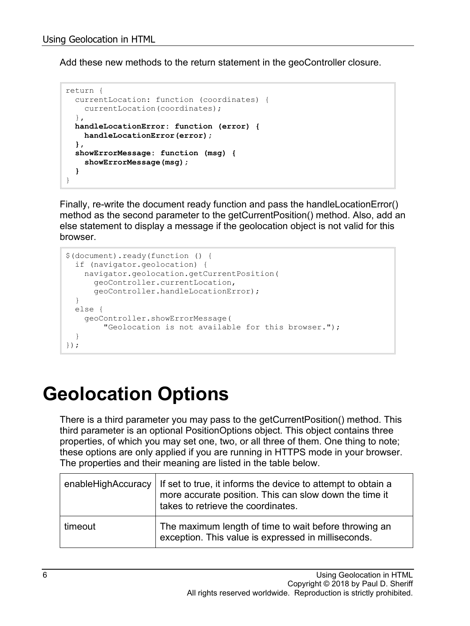Add these new methods to the return statement in the geoController closure.

```
return {
   currentLocation: function (coordinates) {
    currentLocation(coordinates);
   },
  handleLocationError: function (error) {
    handleLocationError(error);
   },
   showErrorMessage: function (msg) {
     showErrorMessage(msg);
   }
}
```
Finally, re-write the document ready function and pass the handleLocationError() method as the second parameter to the getCurrentPosition() method. Also, add an else statement to display a message if the geolocation object is not valid for this browser.

```
$(document).ready(function () {
   if (navigator.geolocation) {
    navigator.geolocation.getCurrentPosition(
       geoController.currentLocation,
       geoController.handleLocationError);
   }
  else {
    geoController.showErrorMessage(
        "Geolocation is not available for this browser.");
   }
});
```
### **Geolocation Options**

There is a third parameter you may pass to the getCurrentPosition() method. This third parameter is an optional PositionOptions object. This object contains three properties, of which you may set one, two, or all three of them. One thing to note; these options are only applied if you are running in HTTPS mode in your browser. The properties and their meaning are listed in the table below.

|         | enableHighAccuracy   If set to true, it informs the device to attempt to obtain a<br>more accurate position. This can slow down the time it<br>takes to retrieve the coordinates. |
|---------|-----------------------------------------------------------------------------------------------------------------------------------------------------------------------------------|
| timeout | The maximum length of time to wait before throwing an<br>exception. This value is expressed in milliseconds.                                                                      |